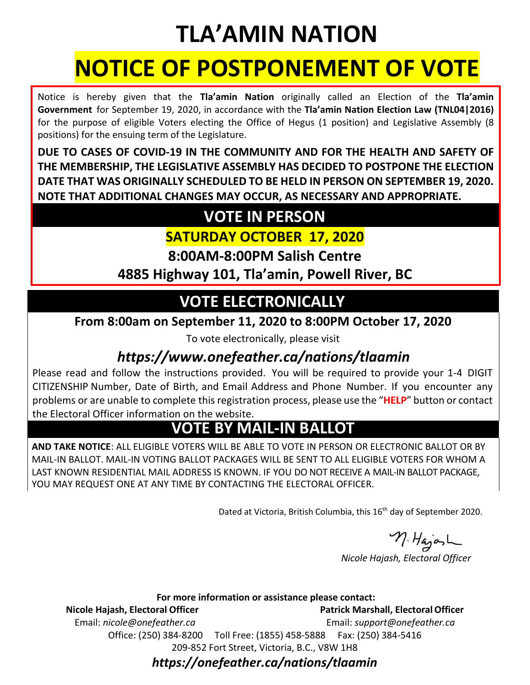## **TLA'AMIN NATION**

# **NOTICE OF POSTPONEMENT OF VOTE**

Notice is hereby given that the **Tla'amin Nation** originally called an Election of the **Tla'amin Government** for September 19, 2020, in accordance with the **Tla'amin Nation Election Law (TNL04|2016)**  for the purpose of eligible Voters electing the Office of Hegus (1 position) and Legislative Assembly (8 positions) for the ensuing term of the Legislature.

**DUE TO CASES OF COVID-19 IN THE COMMUNITY AND FOR THE HEALTH AND SAFETY OF THE MEMBERSHIP, THE LEGISLATIVE ASSEMBLY HAS DECIDED TO POSTPONE THE ELECTION DATE THAT WAS ORIGINALLY SCHEDULED TO BE HELD IN PERSON ON SEPTEMBER 19, 2020. NOTE THAT ADDITIONAL CHANGES MAY OCCUR, AS NECESSARY AND APPROPRIATE.** 

### **VOTE IN PERSON**

#### **SATURDAY OCTOBER 17, 2020**

**8:00AM-8:00PM Salish Centre**

**4885 Highway 101, Tla'amin, Powell River, BC**

## **VOTE ELECTRONICALLY**

**From 8:00am on September 11, 2020 to 8:00PM October 17, 2020**

To vote electronically, please visit

#### *https[://www.onefeather.ca](http://www.onefeather.ca/)[/nations/tlaamin](http://www.onefeather.ca/nations/highbar)*

Please read and follow the instructions provided. You will be required to provide your 1-4 DIGIT CITIZENSHIP Number, Date of Birth, and Email Address and Phone Number. If you encounter any problems or are unable to complete thisregistration process, please use the "**HELP**" button or contact the Electoral Officer information on the website.

### **VOTE BY MAIL-IN BALLOT**

**AND TAKE NOTICE**: ALL ELIGIBLE VOTERS WILL BE ABLE TO VOTE IN PERSON OR ELECTRONIC BALLOT OR BY MAIL-IN BALLOT. MAIL-IN VOTING BALLOT PACKAGES WILL BE SENT TO ALL ELIGIBLE VOTERS FOR WHOM A LAST KNOWN RESIDENTIAL MAIL ADDRESS IS KNOWN. IF YOU DO NOT RECEIVE A MAIL-IN BALLOT PACKAGE, YOU MAY REQUEST ONE AT ANY TIME BY CONTACTING THE ELECTORAL OFFICER.

Dated at Victoria, British Columbia, this 16<sup>th</sup> day of September 2020.

n. HajosL

 *Nicole Hajash, Electoral Officer*

**For more information or assistance please contact:**

**Nicole Hajash, Electoral Officer Patrick Marshall, ElectoralOfficer** 

Email: *[nicole@onefeather.ca](mailto:nicole@onefeather.ca)* Email: *[support@onefeather.ca](mailto:support@onefeather.ca)* Office: (250) 384-8200 Toll Free: (1855) 458-5888 Fax: (250) 384-5416 209-852 Fort Street, Victoria, B.C., V8W 1H8

#### *https://onefeather.ca/nations/tlaamin*